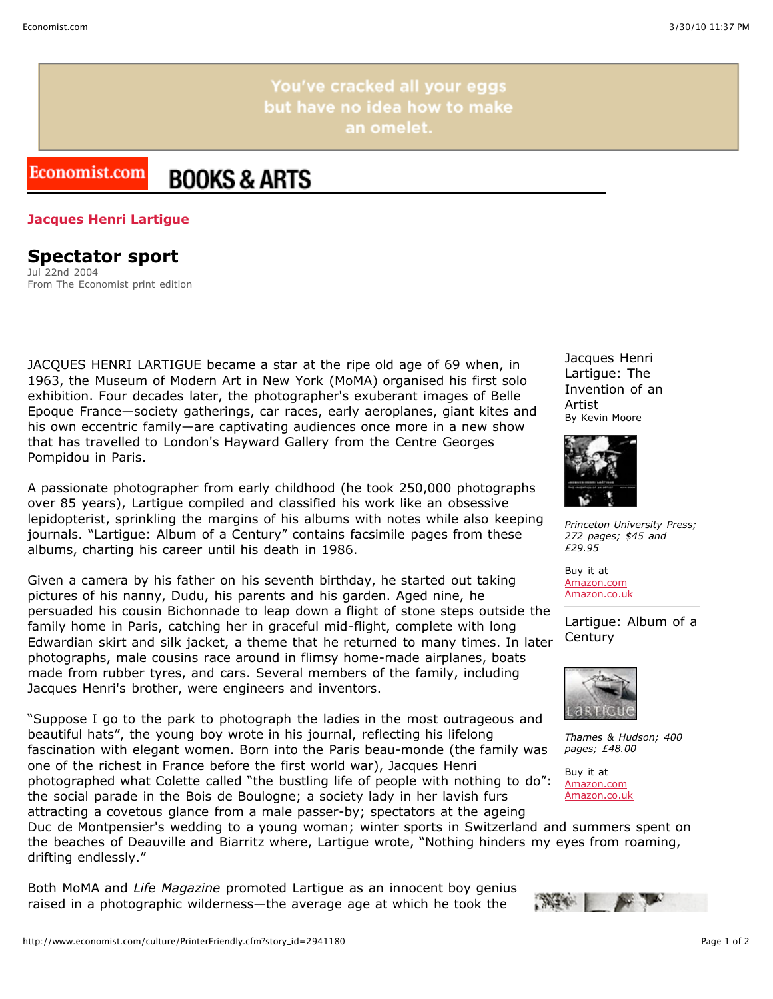You've cracked all your eggs but have no idea how to make an omelet.

## Economist.com **BOOKS & ARTS**

## **Jacques Henri Lartigue**

## **Spectator sport**

Jul 22nd 2004 From The Economist print edition

JACQUES HENRI LARTIGUE became a star at the ripe old age of 69 when, in 1963, the Museum of Modern Art in New York (MoMA) organised his first solo exhibition. Four decades later, the photographer's exuberant images of Belle Epoque France—society gatherings, car races, early aeroplanes, giant kites and his own eccentric family—are captivating audiences once more in a new show that has travelled to London's Hayward Gallery from the Centre Georges Pompidou in Paris.

A passionate photographer from early childhood (he took 250,000 photographs over 85 years), Lartigue compiled and classified his work like an obsessive lepidopterist, sprinkling the margins of his albums with notes while also keeping journals. "Lartigue: Album of a Century" contains facsimile pages from these albums, charting his career until his death in 1986.

Given a camera by his father on his seventh birthday, he started out taking pictures of his nanny, Dudu, his parents and his garden. Aged nine, he persuaded his cousin Bichonnade to leap down a flight of stone steps outside the family home in Paris, catching her in graceful mid-flight, complete with long Edwardian skirt and silk jacket, a theme that he returned to many times. In later photographs, male cousins race around in flimsy home-made airplanes, boats made from rubber tyres, and cars. Several members of the family, including Jacques Henri's brother, were engineers and inventors.

"Suppose I go to the park to photograph the ladies in the most outrageous and beautiful hats", the young boy wrote in his journal, reflecting his lifelong fascination with elegant women. Born into the Paris beau-monde (the family was one of the richest in France before the first world war), Jacques Henri photographed what Colette called "the bustling life of people with nothing to do": the social parade in the Bois de Boulogne; a society lady in her lavish furs attracting a covetous glance from a male passer-by; spectators at the ageing

Jacques Henri Lartigue: The Invention of an Artist By Kevin Moore



*Princeton University Press; 272 pages; \$45 and £29.95*

Buy it at [Amazon.com](http://www.amazon.com/exec/obidos/ASIN/0691120021/theeconomists-20) [Amazon.co.uk](http://www.amazon.co.uk/exec/obidos/ASIN/0691120021/economistshop-21)

Lartigue: Album of a **Century** 



*Thames & Hudson; 400 pages; £48.00*

Buy it at [Amazon.com](http://www.amazon.com/exec/obidos/ASIN/0810946203/theeconomists-20) [Amazon.co.uk](http://www.amazon.co.uk/exec/obidos/ASIN/0810946203/economistshop-21)

Duc de Montpensier's wedding to a young woman; winter sports in Switzerland and summers spent on the beaches of Deauville and Biarritz where, Lartigue wrote, "Nothing hinders my eyes from roaming, drifting endlessly."

Both MoMA and *Life Magazine* promoted Lartigue as an innocent boy genius raised in a photographic wilderness—the average age at which he took the